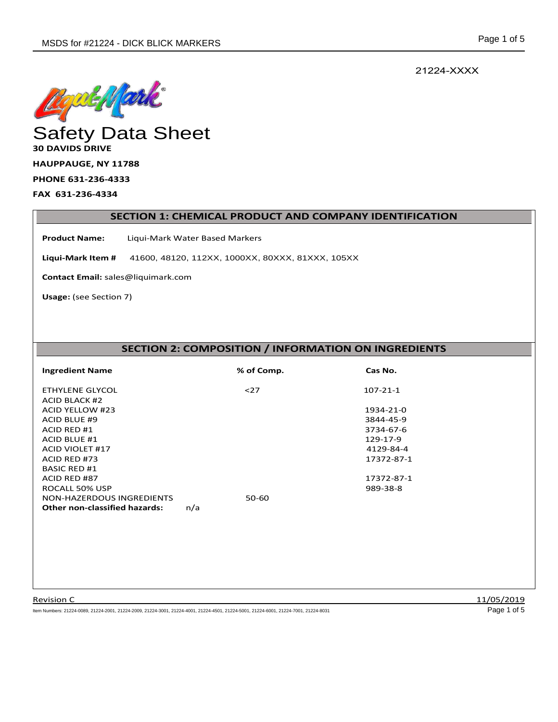21224-XXXX



# **30 DAVIDS DRIVE**

**HAUPPAUGE, NY 11788** 

**PHONE 631-236-4333** 

**FAX 631-236-4334** 

#### **SECTION 1: CHEMICAL PRODUCT AND COMPANY IDENTIFICATION**

**Product Name:** Liqui-Mark Water Based Markers

**Liqui-Mark Item #** 41600, 48120, 112XX, 1000XX, 80XXX, 81XXX, 105XX

**Contact Email:** sales@liquimark.com

**Usage:** (see Section 7)

# **SECTION 2: COMPOSITION / INFORMATION ON INGREDIENTS**

| <b>Ingredient Name</b>               | % of Comp. | Cas No.        |  |
|--------------------------------------|------------|----------------|--|
| ETHYLENE GLYCOL                      | $27$       | $107 - 21 - 1$ |  |
| <b>ACID BLACK #2</b>                 |            |                |  |
| <b>ACID YELLOW #23</b>               |            | 1934-21-0      |  |
| <b>ACID BLUE #9</b>                  |            | 3844-45-9      |  |
| ACID RED #1                          |            | 3734-67-6      |  |
| ACID BLUE #1                         |            | 129-17-9       |  |
| <b>ACID VIOLET #17</b>               |            | 4129-84-4      |  |
| ACID RED #73                         |            | 17372-87-1     |  |
| <b>BASIC RED #1</b>                  |            |                |  |
| ACID RED #87                         |            | 17372-87-1     |  |
| ROCALL 50% USP                       |            | 989-38-8       |  |
| NON-HAZERDOUS INGREDIENTS            | 50-60      |                |  |
| <b>Other non-classified hazards:</b> | n/a        |                |  |

Item Numbers: 21224-0089, 21224-2001, 21224-2009, 21224-3001, 21224-4001, 21224-4501, 21224-5001, 21224-6001, 21224-7001, 21224-8031 Page 1 of 5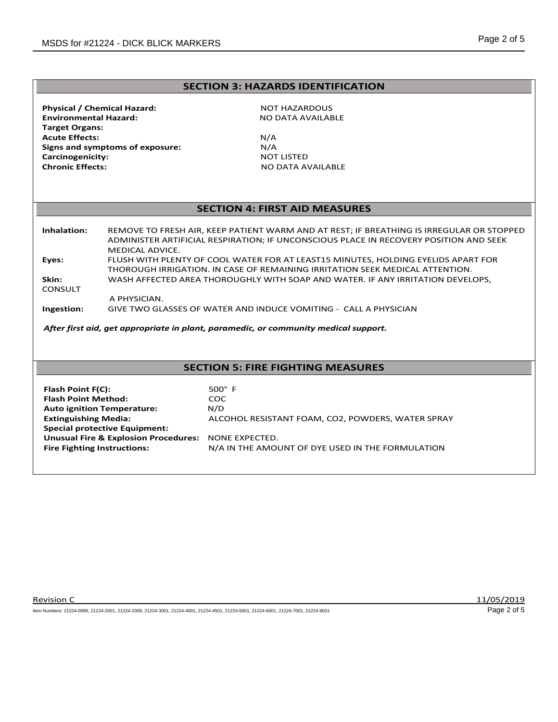### **SECTION 3: HAZARDS IDENTIFICATION**

**Physical / Chemical Hazard:** NOT HAZARDOUS **Environmental Hazard:** NO DATA AVAILABLE  **Target Organs: Acute Effects:** N/A<br>**Signs and symptoms of exposure:** N/A **Signs and symptoms of exposure:**  $N/A$ <br>**Carcinogenicity:** NOT LISTED **Carcinogenicity:**<br>Chronic Effects:

**Chronic Effects:** NO DATA AVAILABLE

### **SECTION 4: FIRST AID MEASURES**

**Inhalation:** REMOVE TO FRESH AIR, KEEP PATIENT WARM AND AT REST; IF BREATHING IS IRREGULAR OR STOPPED ADMINISTER ARTIFICIAL RESPIRATION; IF UNCONSCIOUS PLACE IN RECOVERY POSITION AND SEEK MEDICAL ADVICE. **Eyes:** FLUSH WITH PLENTY OF COOL WATER FOR AT LEAST15 MINUTES, HOLDING EYELIDS APART FOR THOROUGH IRRIGATION. IN CASE OF REMAINING IRRITATION SEEK MEDICAL ATTENTION. **Skin:** WASH AFFECTED AREA THOROUGHLY WITH SOAP AND WATER. IF ANY IRRITATION DEVELOPS, **CONSULT** A PHYSICIAN.  **Ingestion:** GIVE TWO GLASSES OF WATER AND INDUCE VOMITING - CALL A PHYSICIAN

*After first aid, get appropriate in plant, paramedic, or community medical support.*

## **SECTION 5: FIRE FIGHTING MEASURES**

| Flash Point F(C):                                   | $500^\circ$ F                                     |
|-----------------------------------------------------|---------------------------------------------------|
| <b>Flash Point Method:</b>                          | COC.                                              |
| <b>Auto ignition Temperature:</b>                   | N/D                                               |
| <b>Extinguishing Media:</b>                         | ALCOHOL RESISTANT FOAM, CO2, POWDERS, WATER SPRAY |
| <b>Special protective Equipment:</b>                |                                                   |
| Unusual Fire & Explosion Procedures: NONE EXPECTED. |                                                   |
| <b>Fire Fighting Instructions:</b>                  | N/A IN THE AMOUNT OF DYE USED IN THE FORMULATION  |

Provision C 2012 11/05/2019

Item Numbers: 21224-0089, 21224-2001, 21224-2009, 21224-3001, 21224-4001, 21224-4501, 21224-5001, 21224-6001, 21224-7001, 21224-8031 Page 2 of 5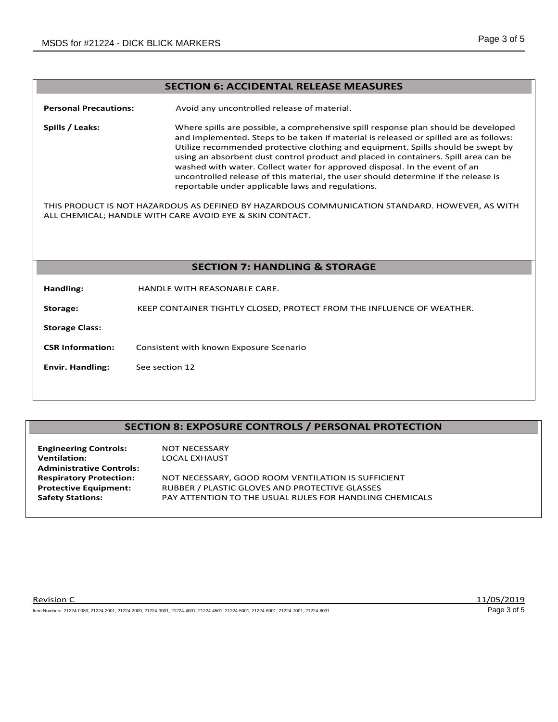#### **SECTION 6: ACCIDENTAL RELEASE MEASURES**

**Personal Precautions:** Avoid any uncontrolled release of material.

**Spills / Leaks:** Where spills are possible, a comprehensive spill response plan should be developed and implemented. Steps to be taken if material is released or spilled are as follows: Utilize recommended protective clothing and equipment. Spills should be swept by using an absorbent dust control product and placed in containers. Spill area can be washed with water. Collect water for approved disposal. In the event of an uncontrolled release of this material, the user should determine if the release is reportable under applicable laws and regulations.

THIS PRODUCT IS NOT HAZARDOUS AS DEFINED BY HAZARDOUS COMMUNICATION STANDARD. HOWEVER, AS WITH ALL CHEMICAL; HANDLE WITH CARE AVOID EYE & SKIN CONTACT.

#### **SECTION 7: HANDLING & STORAGE**

**Handling:** HANDLE WITH REASONABLE CARE.

**Storage:** KEEP CONTAINER TIGHTLY CLOSED, PROTECT FROM THE INFLUENCE OF WEATHER.

**Storage Class:** 

**CSR Information:** Consistent with known Exposure Scenario

**Envir. Handling:** See section 12

#### **SECTION 8: EXPOSURE CONTROLS / PERSONAL PROTECTION**

| <b>Engineering Controls:</b>    | <b>NOT NECESSARY</b>                                    |
|---------------------------------|---------------------------------------------------------|
| <b>Ventilation:</b>             | LOCAL EXHAUST                                           |
| <b>Administrative Controls:</b> |                                                         |
| <b>Respiratory Protection:</b>  | NOT NECESSARY, GOOD ROOM VENTILATION IS SUFFICIENT      |
| <b>Protective Equipment:</b>    | RUBBER / PLASTIC GLOVES AND PROTECTIVE GLASSES          |
| <b>Safety Stations:</b>         | PAY ATTENTION TO THE USUAL RULES FOR HANDLING CHEMICALS |
|                                 |                                                         |

Provision C 2012 11/05/2019

Item Numbers: 21224-0089, 21224-2001, 21224-2009, 21224-3001, 21224-4001, 21224-4501, 21224-5001, 21224-6001, 21224-7001, 21224-8031 Page 3 of 5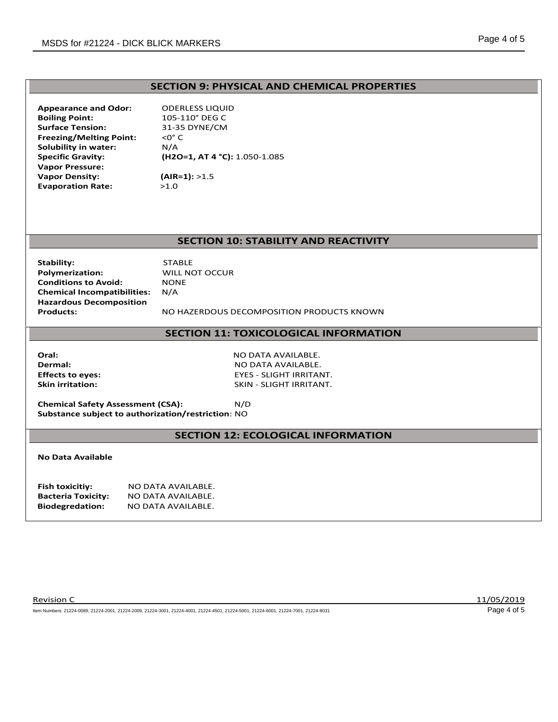#### **SECTION 9: PHYSICAL AND CHEMICAL PROPERTIES**

**Appearance and Odor:** ODERLESS LIQUID **Boiling Point:** 105-110° DEG C **Surface Tension:** 31-35 DYNE/CM **Freezing/Melting Point:** <0° C<br>**Solubility in water:** N/A **Solubility in water:**<br>Specific Gravity: **Vapor Pressure: Vapor Density:** (AIR=1): >1.5 **Evaporation Rate:** >1.0

**Specific Gravity: (H2O=1, AT 4 °C):** 1.050-1.085

#### **SECTION 10: STABILITY AND REACTIVITY**

**Stability:** STABLE<br> **Polymerization:** WILL NO **Conditions to Avoid:** NON<br>**Chemical Incompatibilities:** N/A **Chemical Incompatibilities: Hazardous Decomposition**

**WILL NOT OCCUR<br>NONE** 

**Products:** NO HAZERDOUS DECOMPOSITION PRODUCTS KNOWN

#### **SECTION 11: TOXICOLOGICAL INFORMATION**

**Oral:** NO DATA AVAILABLE.

**Dermal:** NO DATA AVAILABLE. **Effects to eyes:** EYES - SLIGHT IRRITANT. **Skin irritation:** SKIN - SLIGHT IRRITANT.

**Chemical Safety Assessment (CSA):** N/D **Substance subject to authorization/restriction**: NO

#### **SECTION 12: ECOLOGICAL INFORMATION**

**No Data Available**

| Fish toxicitiy:           | NO DATA AVAILABLE. |
|---------------------------|--------------------|
| <b>Bacteria Toxicity:</b> | NO DATA AVAILABLE. |
| <b>Biodegredation:</b>    | NO DATA AVAILABLE. |

Provision C 2012 11/05/2019

Item Numbers: 21224-0089, 21224-2001, 21224-2009, 21224-3001, 21224-4001, 21224-4501, 21224-5001, 21224-6001, 21224-7001, 21224-8031 Page 4 of 5